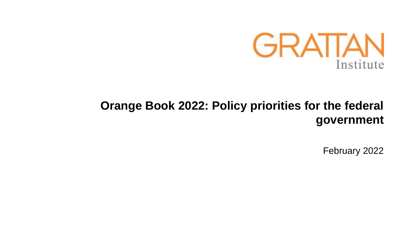

# **Orange Book 2022: Policy priorities for the federal government**

February 2022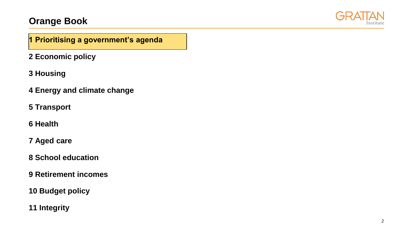

### **1 Prioritising a government's agenda**

- **2 Economic policy**
- **3 Housing**
- **4 Energy and climate change**
- **5 Transport**
- **6 Health**
- **7 Aged care**
- **8 School education**
- **9 Retirement incomes**
- **10 Budget policy**
- **11 Integrity**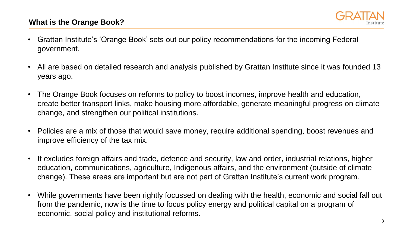

- Grattan Institute's 'Orange Book' sets out our policy recommendations for the incoming Federal government.
- All are based on detailed research and analysis published by Grattan Institute since it was founded 13 years ago.
- The Orange Book focuses on reforms to policy to boost incomes, improve health and education, create better transport links, make housing more affordable, generate meaningful progress on climate change, and strengthen our political institutions.
- Policies are a mix of those that would save money, require additional spending, boost revenues and improve efficiency of the tax mix.
- It excludes foreign affairs and trade, defence and security, law and order, industrial relations, higher education, communications, agriculture, Indigenous affairs, and the environment (outside of climate change). These areas are important but are not part of Grattan Institute's current work program.
- While governments have been rightly focussed on dealing with the health, economic and social fall out from the pandemic, now is the time to focus policy energy and political capital on a program of economic, social policy and institutional reforms.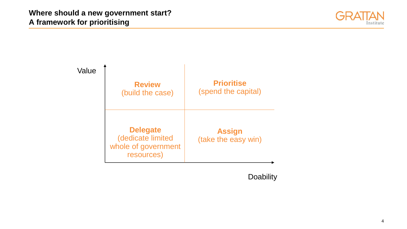



**Doability**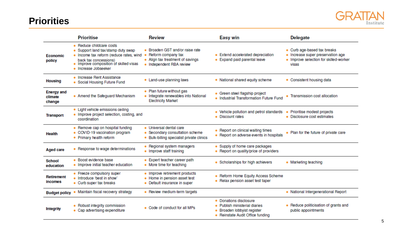### **Priorities**



|                                        | <b>Prioritise</b>                                                                                                                                                                                  | <b>Review</b>                                                                                                         | <b>Easy win</b>                                                                                                             | <b>Delegate</b>                                                                                                     |
|----------------------------------------|----------------------------------------------------------------------------------------------------------------------------------------------------------------------------------------------------|-----------------------------------------------------------------------------------------------------------------------|-----------------------------------------------------------------------------------------------------------------------------|---------------------------------------------------------------------------------------------------------------------|
| <b>Economic</b><br>policy              | • Reduce childcare costs<br>Support land tax/stamp duty swap<br>. Income tax reform (reduce rates, wind<br>back tax concessions)<br>• Improve composition of skilled visas<br>• Increase Jobseeker | • Broaden GST and/or raise rate<br>Reform company tax<br>• Align tax treatment of savings<br>• Independent RBA review | • Extend accelerated depreciation<br>• Expand paid parental leave                                                           | • Curb age-based tax breaks<br>· Increase super preservation age<br>. Improve selection for skilled-worker<br>visas |
| <b>Housing</b>                         | • Increase Rent Assistance<br>• Social Housing Future Fund                                                                                                                                         | • Land-use planning laws                                                                                              | • National shared equity scheme                                                                                             | • Consistent housing data                                                                                           |
| <b>Energy and</b><br>climate<br>change | • Amend the Safeguard Mechanism                                                                                                                                                                    | • Plan future without gas<br>Integrate renewables into National<br><b>Electricity Market</b>                          | • Green steel flagship project<br>. Industrial Transformation Future Fund                                                   | Transmission cost allocation                                                                                        |
| <b>Transport</b>                       | • Light vehicle emissions ceiling<br>. Improve project selection, costing, and<br>coordination                                                                                                     |                                                                                                                       | • Vehicle pollution and petrol standards<br>• Discount rates                                                                | Prioritise modest projects<br>• Disclosure cost estimates                                                           |
| <b>Health</b>                          | • Remove cap on hospital funding<br>• COVID-19 vaccination program<br>• Primary health reform                                                                                                      | · Universal dental care<br>Secondary consultation scheme<br>Bulk-billing specialist private clinics                   | • Report on clinical waiting times<br>• Report on adverse events in hospitals                                               | • Plan for the future of private care                                                                               |
| <b>Aged care</b>                       | • Response to wage determinations                                                                                                                                                                  | • Regional system managers<br>• Improve staff training                                                                | • Supply of home care packages<br>• Report on quality/price of providers                                                    |                                                                                                                     |
| <b>School</b><br>education             | • Boost evidence base<br>. Improve initial teacher education                                                                                                                                       | Expert teacher career path<br>• More time for teaching                                                                | • Scholarships for high achievers                                                                                           | • Marketing teaching                                                                                                |
| <b>Retirement</b><br>incomes           | • Freeze compulsory super<br>• Introduce 'best in show'<br>• Curb super tax breaks                                                                                                                 | • Improve retirement products<br>• Home in pension asset test<br>• Default insurance in super                         | • Reform Home Equity Access Scheme<br>• Relax pension asset test taper                                                      |                                                                                                                     |
| <b>Budget policy</b>                   | Maintain fiscal recovery strategy                                                                                                                                                                  | • Review medium-term targets                                                                                          |                                                                                                                             | . National Intergenerational Report                                                                                 |
| <b>Integrity</b>                       | • Robust integrity commission<br>• Cap advertising expenditure                                                                                                                                     | • Code of conduct for all MPs                                                                                         | <b>Donations disclosure</b><br>Publish ministerial diaries<br>Broaden lobbyist register<br>• Reinstate Audit Office funding | Reduce politicisation of grants and<br>public appointments                                                          |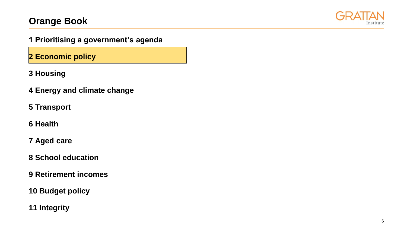

**1 Prioritising a government's agenda**

**2 Economic policy**

**3 Housing**

**4 Energy and climate change** 

**5 Transport** 

**6 Health** 

**7 Aged care** 

**8 School education** 

**9 Retirement incomes** 

**10 Budget policy**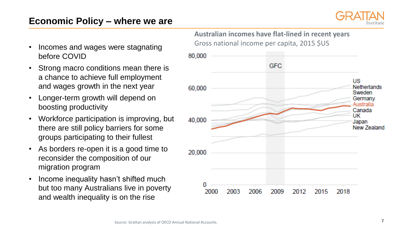## **Economic Policy – where we are**



- Incomes and wages were stagnating before COVID
- Strong macro conditions mean there is a chance to achieve full employment and wages growth in the next year
- Longer-term growth will depend on boosting productivity
- Workforce participation is improving, but there are still policy barriers for some groups participating to their fullest
- As borders re-open it is a good time to reconsider the composition of our migration program
- Income inequality hasn't shifted much but too many Australians live in poverty and wealth inequality is on the rise

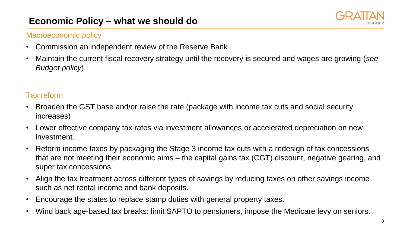# **Economic Policy – what we should do**



#### Macroeconomic policy

- Commission an independent review of the Reserve Bank
- Maintain the current fiscal recovery strategy until the recovery is secured and wages are growing (*see Budget policy*).

### Tax reform

- Broaden the GST base and/or raise the rate (package with income tax cuts and social security increases)
- Lower effective company tax rates via investment allowances or accelerated depreciation on new investment.
- Reform income taxes by packaging the Stage 3 income tax cuts with a redesign of tax concessions that are not meeting their economic aims – the capital gains tax (CGT) discount, negative gearing, and super tax concessions.
- Align the tax treatment across different types of savings by reducing taxes on other savings income such as net rental income and bank deposits.
- Encourage the states to replace stamp duties with general property taxes.
- Wind back age-based tax breaks: limit SAPTO to pensioners, impose the Medicare levy on seniors.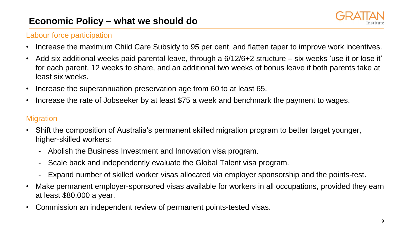# **Economic Policy – what we should do**



### Labour force participation

- Increase the maximum Child Care Subsidy to 95 per cent, and flatten taper to improve work incentives.
- Add six additional weeks paid parental leave, through a 6/12/6+2 structure six weeks 'use it or lose it' for each parent, 12 weeks to share, and an additional two weeks of bonus leave if both parents take at least six weeks.
- Increase the superannuation preservation age from 60 to at least 65.
- Increase the rate of Jobseeker by at least \$75 a week and benchmark the payment to wages.

### **Migration**

- Shift the composition of Australia's permanent skilled migration program to better target younger, higher-skilled workers:
	- Abolish the Business Investment and Innovation visa program.
	- Scale back and independently evaluate the Global Talent visa program.
	- Expand number of skilled worker visas allocated via employer sponsorship and the points-test.
- Make permanent employer-sponsored visas available for workers in all occupations, provided they earn at least \$80,000 a year.
- Commission an independent review of permanent points-tested visas.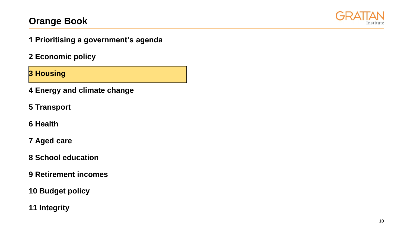

**1 Prioritising a government's agenda**

**2 Economic policy**

**3 Housing**

**4 Energy and climate change** 

**5 Transport** 

**6 Health** 

**7 Aged care** 

**8 School education** 

**9 Retirement incomes** 

**10 Budget policy**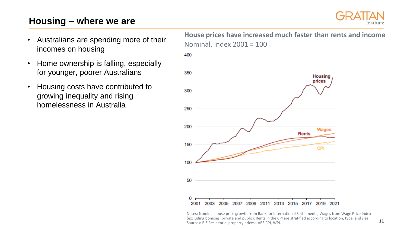## **Housing – where we are**



- Australians are spending more of their incomes on housing
- Home ownership is falling, especially for younger, poorer Australians
- Housing costs have contributed to growing inequality and rising homelessness in Australia

**House prices have increased much faster than rents and income** Nominal, index 2001 = 100



Notes: Nominal house price growth from Bank for International Settlements; Wages from Wage Price Index (excluding bonuses; private and public). Rents in the CPI are stratified according to location, type, and size. Sources: BIS Residential property prices:, ABS CPI, WPI.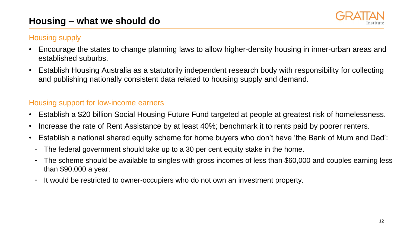# **Housing – what we should do**



### Housing supply

- Encourage the states to change planning laws to allow higher-density housing in inner-urban areas and established suburbs.
- Establish Housing Australia as a statutorily independent research body with responsibility for collecting and publishing nationally consistent data related to housing supply and demand.

### Housing support for low-income earners

- Establish a \$20 billion Social Housing Future Fund targeted at people at greatest risk of homelessness.
- Increase the rate of Rent Assistance by at least 40%; benchmark it to rents paid by poorer renters.
- Establish a national shared equity scheme for home buyers who don't have 'the Bank of Mum and Dad':
	- The federal government should take up to a 30 per cent equity stake in the home.
	- The scheme should be available to singles with gross incomes of less than \$60,000 and couples earning less than \$90,000 a year.
	- It would be restricted to owner-occupiers who do not own an investment property.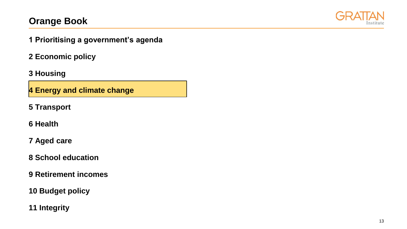

**1 Prioritising a government's agenda**

**2 Economic policy**

**3 Housing**

**4 Energy and climate change** 

**5 Transport** 

**6 Health** 

**7 Aged care** 

**8 School education** 

**9 Retirement incomes** 

**10 Budget policy**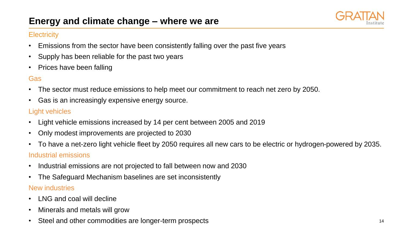

#### **Electricity**

- Emissions from the sector have been consistently falling over the past five years
- Supply has been reliable for the past two years
- Prices have been falling

### Gas

- The sector must reduce emissions to help meet our commitment to reach net zero by 2050.
- Gas is an increasingly expensive energy source.

#### Light vehicles

- Light vehicle emissions increased by 14 per cent between 2005 and 2019
- Only modest improvements are projected to 2030
- To have a net-zero light vehicle fleet by 2050 requires all new cars to be electric or hydrogen-powered by 2035.

### Industrial emissions

- Industrial emissions are not projected to fall between now and 2030
- The Safeguard Mechanism baselines are set inconsistently

#### New industries

- LNG and coal will decline
- Minerals and metals will grow
- Steel and other commodities are longer-term prospects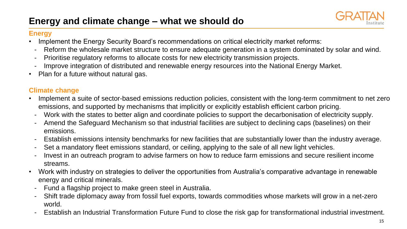

#### **Energy**

- Implement the Energy Security Board's recommendations on critical electricity market reforms:
- Reform the wholesale market structure to ensure adequate generation in a system dominated by solar and wind.
- Prioritise regulatory reforms to allocate costs for new electricity transmission projects.
- Improve integration of distributed and renewable energy resources into the National Energy Market.
- Plan for a future without natural gas.

### **Climate change**

- Implement a suite of sector-based emissions reduction policies, consistent with the long-term commitment to net zero emissions, and supported by mechanisms that implicitly or explicitly establish efficient carbon pricing.
	- Work with the states to better align and coordinate policies to support the decarbonisation of electricity supply.
	- Amend the Safeguard Mechanism so that industrial facilities are subject to declining caps (baselines) on their emissions.
	- Establish emissions intensity benchmarks for new facilities that are substantially lower than the industry average.
	- Set a mandatory fleet emissions standard, or ceiling, applying to the sale of all new light vehicles.
	- Invest in an outreach program to advise farmers on how to reduce farm emissions and secure resilient income streams.
- Work with industry on strategies to deliver the opportunities from Australia's comparative advantage in renewable energy and critical minerals.
	- Fund a flagship project to make green steel in Australia.
	- Shift trade diplomacy away from fossil fuel exports, towards commodities whose markets will grow in a net-zero world.
	- Establish an Industrial Transformation Future Fund to close the risk gap for transformational industrial investment.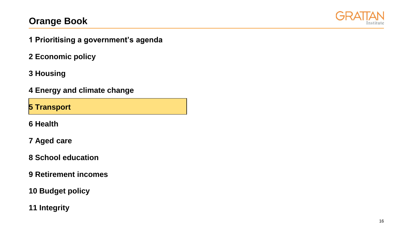

**1 Prioritising a government's agenda**

**2 Economic policy**

**3 Housing**

**4 Energy and climate change** 

**5 Transport** 

**6 Health** 

**7 Aged care** 

**8 School education** 

**9 Retirement incomes** 

**10 Budget policy**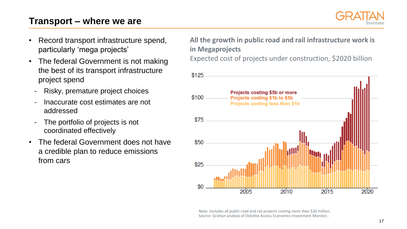## **Transport – where we are**



- Record transport infrastructure spend, particularly 'mega projects'
- The federal Government is not making the best of its transport infrastructure project spend
	- Risky, premature project choices
	- Inaccurate cost estimates are not addressed
	- The portfolio of projects is not coordinated effectively
- The federal Government does not have a credible plan to reduce emissions from cars

**All the growth in public road and rail infrastructure work is in Megaprojects**

Expected cost of projects under construction, \$2020 billion



Note: Includes all public road and rail projects costing more than \$20 million. Source: Grattan analysis of Deloitte Access Economics Investment Monitor..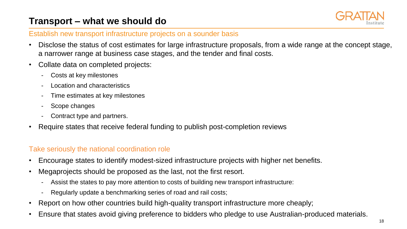# **Transport – what we should do**



#### Establish new transport infrastructure projects on a sounder basis

- Disclose the status of cost estimates for large infrastructure proposals, from a wide range at the concept stage, a narrower range at business case stages, and the tender and final costs.
- Collate data on completed projects:
	- Costs at key milestones
	- Location and characteristics
	- Time estimates at key milestones
	- Scope changes
	- Contract type and partners.
- Require states that receive federal funding to publish post-completion reviews

#### Take seriously the national coordination role

- Encourage states to identify modest-sized infrastructure projects with higher net benefits.
- Megaprojects should be proposed as the last, not the first resort.
	- Assist the states to pay more attention to costs of building new transport infrastructure:
	- Regularly update a benchmarking series of road and rail costs;
- Report on how other countries build high-quality transport infrastructure more cheaply;
- Ensure that states avoid giving preference to bidders who pledge to use Australian-produced materials.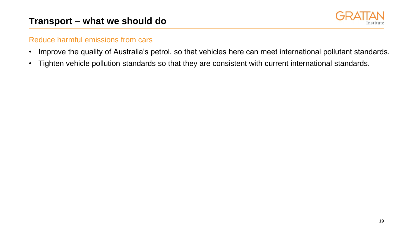

### Reduce harmful emissions from cars

- Improve the quality of Australia's petrol, so that vehicles here can meet international pollutant standards.
- Tighten vehicle pollution standards so that they are consistent with current international standards.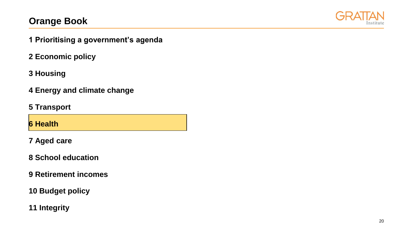

- **1 Prioritising a government's agenda**
- **2 Economic policy**
- **3 Housing**
- **4 Energy and climate change**
- **5 Transport**

**6 Health** 

**7 Aged care** 

**8 School education** 

**9 Retirement incomes** 

**10 Budget policy**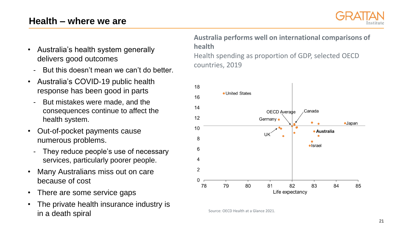## **Health – where we are**



- Australia's health system generally delivers good outcomes
	- But this doesn't mean we can't do better.
- Australia's COVID-19 public health response has been good in parts
	- But mistakes were made, and the consequences continue to affect the health system.
- Out-of-pocket payments cause numerous problems.
	- They reduce people's use of necessary services, particularly poorer people.
- Many Australians miss out on care because of cost
- There are some service gaps
- The private health insurance industry is in a death spiral

**Australia performs well on international comparisons of health** Health spending as proportion of GDP, selected OECD countries, 2019



Source: OECD Health at a Glance 2021.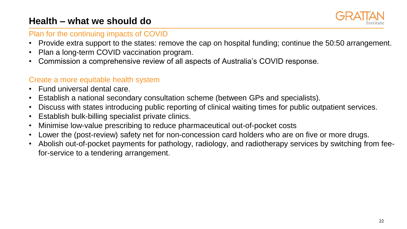# **Health – what we should do**



#### Plan for the continuing impacts of COVID

- Provide extra support to the states: remove the cap on hospital funding; continue the 50:50 arrangement.
- Plan a long-term COVID vaccination program.
- Commission a comprehensive review of all aspects of Australia's COVID response.

### Create a more equitable health system

- Fund universal dental care.
- Establish a national secondary consultation scheme (between GPs and specialists).
- Discuss with states introducing public reporting of clinical waiting times for public outpatient services.
- Establish bulk-billing specialist private clinics.
- Minimise low-value prescribing to reduce pharmaceutical out-of-pocket costs
- Lower the (post-review) safety net for non-concession card holders who are on five or more drugs.
- Abolish out-of-pocket payments for pathology, radiology, and radiotherapy services by switching from feefor-service to a tendering arrangement.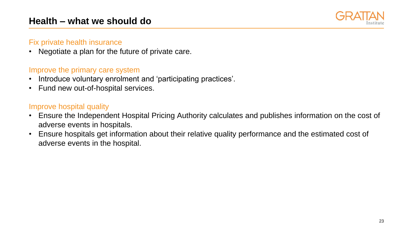

#### Fix private health insurance

• Negotiate a plan for the future of private care.

### Improve the primary care system

- Introduce voluntary enrolment and 'participating practices'.
- Fund new out-of-hospital services.

### Improve hospital quality

- Ensure the Independent Hospital Pricing Authority calculates and publishes information on the cost of adverse events in hospitals.
- Ensure hospitals get information about their relative quality performance and the estimated cost of adverse events in the hospital.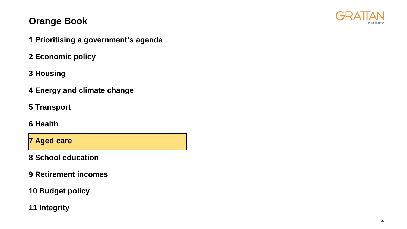

- **1 Prioritising a government's agenda**
- **2 Economic policy**
- **3 Housing**
- **4 Energy and climate change**
- **5 Transport**
- **6 Health**

**7 Aged care** 

**8 School education** 

- **9 Retirement incomes**
- **10 Budget policy**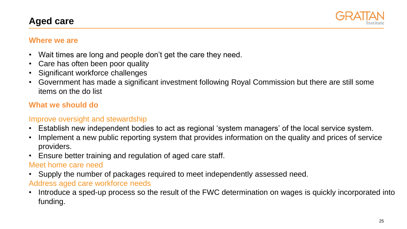## **Aged care**



#### **Where we are**

- Wait times are long and people don't get the care they need.
- Care has often been poor quality
- Significant workforce challenges
- Government has made a significant investment following Royal Commission but there are still some items on the do list

### **What we should do**

### Improve oversight and stewardship

- Establish new independent bodies to act as regional 'system managers' of the local service system.
- Implement a new public reporting system that provides information on the quality and prices of service providers.
- Ensure better training and regulation of aged care staff.

#### Meet home care need

• Supply the number of packages required to meet independently assessed need.

### Address aged care workforce needs

• Introduce a sped-up process so the result of the FWC determination on wages is quickly incorporated into funding.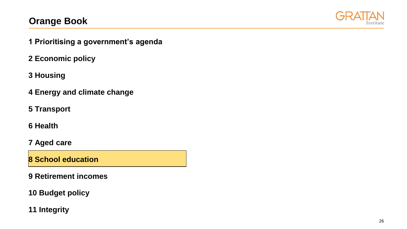

- **1 Prioritising a government's agenda**
- **2 Economic policy**
- **3 Housing**
- **4 Energy and climate change**
- **5 Transport**
- **6 Health**
- **7 Aged care**

**8 School education** 

- **9 Retirement incomes**
- **10 Budget policy**
- **11 Integrity**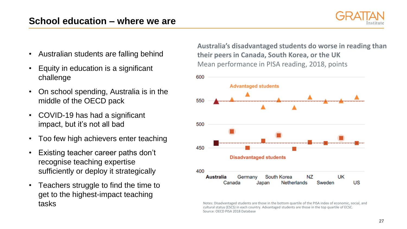

- Australian students are falling behind
- Equity in education is a significant challenge
- On school spending, Australia is in the middle of the OECD pack
- COVID-19 has had a significant impact, but it's not all bad
- Too few high achievers enter teaching
- Existing teacher career paths don't recognise teaching expertise sufficiently or deploy it strategically
- Teachers struggle to find the time to get to the highest-impact teaching tasks

**Australia's disadvantaged students do worse in reading than their peers in Canada, South Korea, or the UK** Mean performance in PISA reading, 2018, points



Notes: Disadvantaged students are those in the bottom quartile of the PISA index of economic, social, and cultural status (ESCS) in each country. Advantaged students are those in the top quartile of ECSC. Source: OECD PISA 2018 Database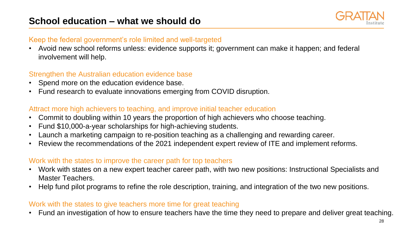#### Keep the federal government's role limited and well-targeted

• Avoid new school reforms unless: evidence supports it; government can make it happen; and federal involvement will help.

### Strengthen the Australian education evidence base

- Spend more on the education evidence base.
- Fund research to evaluate innovations emerging from COVID disruption.

#### Attract more high achievers to teaching, and improve initial teacher education

- Commit to doubling within 10 years the proportion of high achievers who choose teaching.
- Fund \$10,000-a-year scholarships for high-achieving students.
- Launch a marketing campaign to re-position teaching as a challenging and rewarding career.
- Review the recommendations of the 2021 independent expert review of ITE and implement reforms.

#### Work with the states to improve the career path for top teachers

- Work with states on a new expert teacher career path, with two new positions: Instructional Specialists and Master Teachers.
- Help fund pilot programs to refine the role description, training, and integration of the two new positions.

#### Work with the states to give teachers more time for great teaching

• Fund an investigation of how to ensure teachers have the time they need to prepare and deliver great teaching.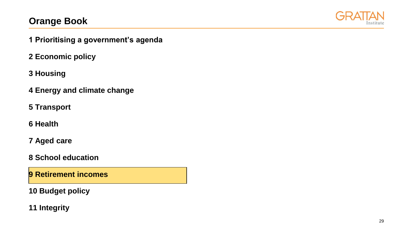

- **1 Prioritising a government's agenda**
- **2 Economic policy**
- **3 Housing**
- **4 Energy and climate change**
- **5 Transport**
- **6 Health**
- **7 Aged care**
- **8 School education**
- **9 Retirement incomes**
- **10 Budget policy**
- **11 Integrity**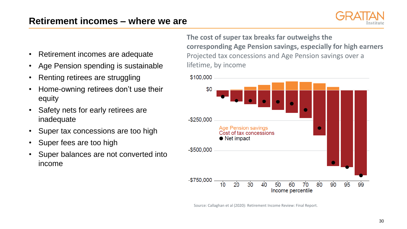

- Retirement incomes are adequate
- Age Pension spending is sustainable
- Renting retirees are struggling
- Home-owning retirees don't use their equity
- Safety nets for early retirees are inadequate
- Super tax concessions are too high
- Super fees are too high
- Super balances are not converted into income

**The cost of super tax breaks far outweighs the corresponding Age Pension savings, especially for high earners** Projected tax concessions and Age Pension savings over a lifetime, by income



Source: Callaghan et al (2020): Retirement Income Review: Final Report.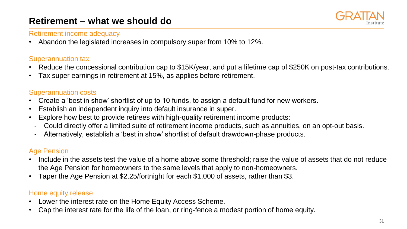## **Retirement – what we should do**



#### Retirement income adequacy

• Abandon the legislated increases in compulsory super from 10% to 12%.

### Superannuation tax

- Reduce the concessional contribution cap to \$15K/year, and put a lifetime cap of \$250K on post-tax contributions.
- Tax super earnings in retirement at 15%, as applies before retirement.

#### Superannuation costs

- Create a 'best in show' shortlist of up to 10 funds, to assign a default fund for new workers.
- Establish an independent inquiry into default insurance in super.
- Explore how best to provide retirees with high-quality retirement income products:
	- Could directly offer a limited suite of retirement income products, such as annuities, on an opt-out basis.
	- Alternatively, establish a 'best in show' shortlist of default drawdown-phase products.

### Age Pension

- Include in the assets test the value of a home above some threshold; raise the value of assets that do not reduce the Age Pension for homeowners to the same levels that apply to non-homeowners.
- Taper the Age Pension at \$2.25/fortnight for each \$1,000 of assets, rather than \$3.

### Home equity release

- Lower the interest rate on the Home Equity Access Scheme.
- Cap the interest rate for the life of the loan, or ring-fence a modest portion of home equity.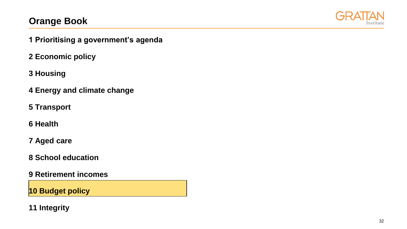

- **1 Prioritising a government's agenda**
- **2 Economic policy**
- **3 Housing**
- **4 Energy and climate change**
- **5 Transport**
- **6 Health**
- **7 Aged care**
- **8 School education**
- **9 Retirement incomes**

**10 Budget policy**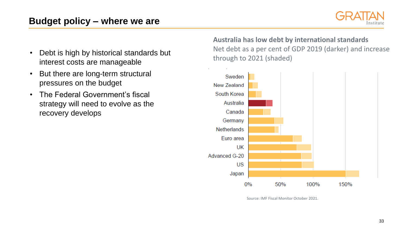# **Budget policy – where we are**



- Debt is high by historical standards but interest costs are manageable
- But there are long-term structural pressures on the budget
- The Federal Government's fiscal strategy will need to evolve as the recovery develops

**Australia has low debt by international standards** Net debt as a per cent of GDP 2019 (darker) and increase through to 2021 (shaded)



Source: IMF Fiscal Monitor October 2021.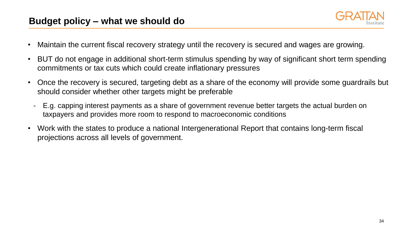

- Maintain the current fiscal recovery strategy until the recovery is secured and wages are growing.
- BUT do not engage in additional short-term stimulus spending by way of significant short term spending commitments or tax cuts which could create inflationary pressures
- Once the recovery is secured, targeting debt as a share of the economy will provide some guardrails but should consider whether other targets might be preferable
	- E.g. capping interest payments as a share of government revenue better targets the actual burden on taxpayers and provides more room to respond to macroeconomic conditions
- Work with the states to produce a national Intergenerational Report that contains long-term fiscal projections across all levels of government.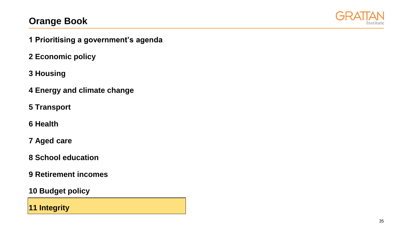

- **1 Prioritising a government's agenda**
- **2 Economic policy**
- **3 Housing**
- **4 Energy and climate change**
- **5 Transport**
- **6 Health**
- **7 Aged care**
- **8 School education**
- **9 Retirement incomes**
- **10 Budget policy**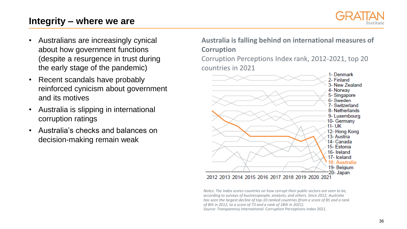## **Integrity – where we are**



- Australians are increasingly cynical about how government functions (despite a resurgence in trust during the early stage of the pandemic)
- Recent scandals have probably reinforced cynicism about government and its motives
- Australia is slipping in international corruption ratings
- Australia's checks and balances on decision-making remain weak

**Australia is falling behind on international measures of Corruption**

Corruption Perceptions Index rank, 2012-2021, top 20 countries in 2021



*Notes: The Index scores countries on how corrupt their public sectors are seen to be, according to surveys of businesspeople, analysts, and others. Since 2012, Australia has seen the largest decline of top-10 ranked countries (from a score of 85 and a rank of 8th in 2012, to a score of 73 and a rank of 18th in 2021). Source: Transparency International.* Corruption Perceptions Index 2021.